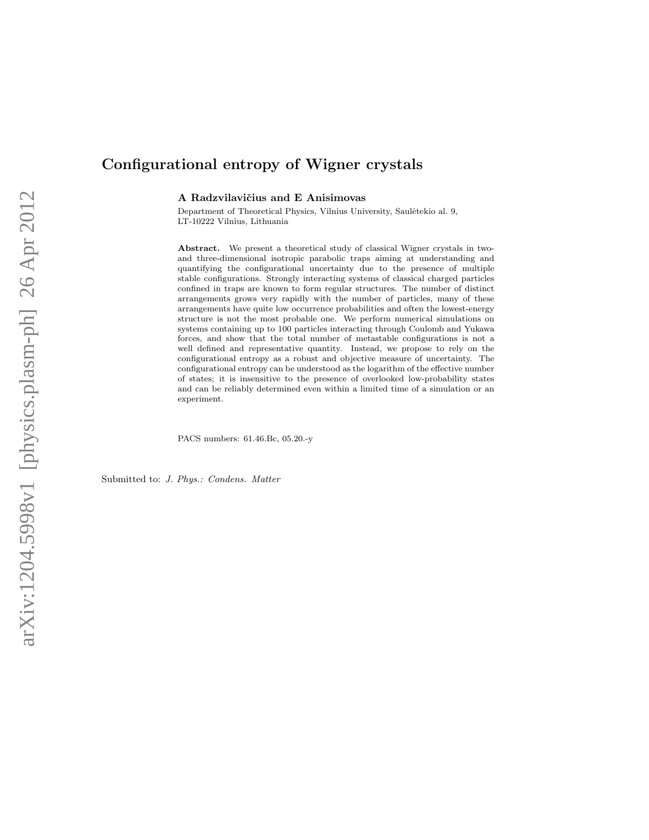# Configurational entropy of Wigner crystals

A Radzvilavičius and E Anisimovas

Department of Theoretical Physics, Vilnius University, Saulėtekio al. 9, LT-10222 Vilnius, Lithuania

Abstract. We present a theoretical study of classical Wigner crystals in twoand three-dimensional isotropic parabolic traps aiming at understanding and quantifying the configurational uncertainty due to the presence of multiple stable configurations. Strongly interacting systems of classical charged particles confined in traps are known to form regular structures. The number of distinct arrangements grows very rapidly with the number of particles, many of these arrangements have quite low occurrence probabilities and often the lowest-energy structure is not the most probable one. We perform numerical simulations on systems containing up to 100 particles interacting through Coulomb and Yukawa forces, and show that the total number of metastable configurations is not a well defined and representative quantity. Instead, we propose to rely on the configurational entropy as a robust and objective measure of uncertainty. The configurational entropy can be understood as the logarithm of the effective number of states; it is insensitive to the presence of overlooked low-probability states and can be reliably determined even within a limited time of a simulation or an experiment.

PACS numbers: 61.46.Bc, 05.20.-y

Submitted to: J. Phys.: Condens. Matter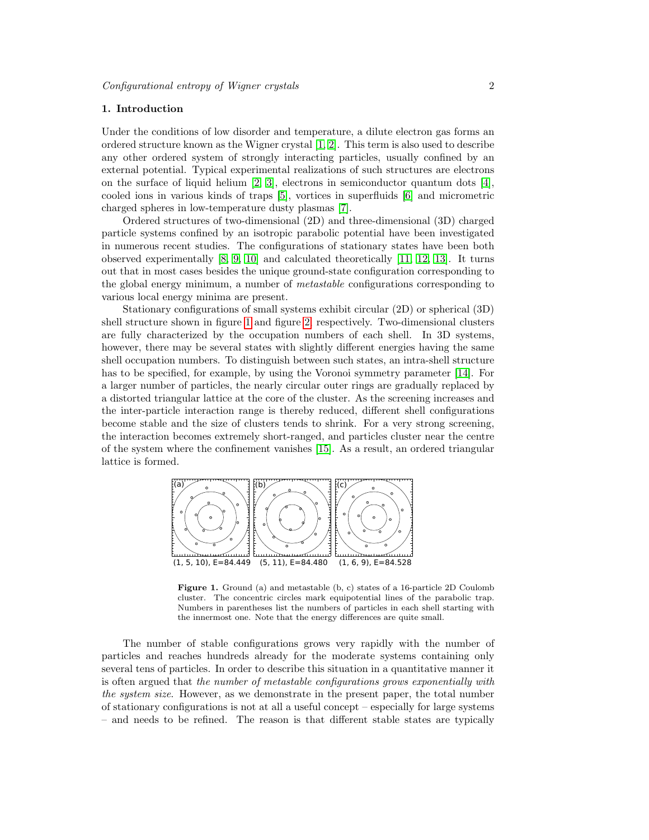# 1. Introduction

Under the conditions of low disorder and temperature, a dilute electron gas forms an ordered structure known as the Wigner crystal [\[1,](#page-11-0) [2\]](#page-11-1). This term is also used to describe any other ordered system of strongly interacting particles, usually confined by an external potential. Typical experimental realizations of such structures are electrons on the surface of liquid helium  $[2, 3]$  $[2, 3]$ , electrons in semiconductor quantum dots  $[4]$ , cooled ions in various kinds of traps [\[5\]](#page-11-4), vortices in superfluids [\[6\]](#page-11-5) and micrometric charged spheres in low-temperature dusty plasmas [\[7\]](#page-11-6).

Ordered structures of two-dimensional (2D) and three-dimensional (3D) charged particle systems confined by an isotropic parabolic potential have been investigated in numerous recent studies. The configurations of stationary states have been both observed experimentally [\[8,](#page-11-7) [9,](#page-11-8) [10\]](#page-11-9) and calculated theoretically [\[11,](#page-11-10) [12,](#page-11-11) [13\]](#page-11-12). It turns out that in most cases besides the unique ground-state configuration corresponding to the global energy minimum, a number of metastable configurations corresponding to various local energy minima are present.

Stationary configurations of small systems exhibit circular (2D) or spherical (3D) shell structure shown in figure [1](#page-1-0) and figure [2,](#page-2-0) respectively. Two-dimensional clusters are fully characterized by the occupation numbers of each shell. In 3D systems, however, there may be several states with slightly different energies having the same shell occupation numbers. To distinguish between such states, an intra-shell structure has to be specified, for example, by using the Voronoi symmetry parameter [\[14\]](#page-11-13). For a larger number of particles, the nearly circular outer rings are gradually replaced by a distorted triangular lattice at the core of the cluster. As the screening increases and the inter-particle interaction range is thereby reduced, different shell configurations become stable and the size of clusters tends to shrink. For a very strong screening, the interaction becomes extremely short-ranged, and particles cluster near the centre of the system where the confinement vanishes [\[15\]](#page-11-14). As a result, an ordered triangular lattice is formed.



<span id="page-1-0"></span>Figure 1. Ground (a) and metastable (b, c) states of a 16-particle 2D Coulomb cluster. The concentric circles mark equipotential lines of the parabolic trap. Numbers in parentheses list the numbers of particles in each shell starting with the innermost one. Note that the energy differences are quite small.

The number of stable configurations grows very rapidly with the number of particles and reaches hundreds already for the moderate systems containing only several tens of particles. In order to describe this situation in a quantitative manner it is often argued that the number of metastable configurations grows exponentially with the system size. However, as we demonstrate in the present paper, the total number of stationary configurations is not at all a useful concept – especially for large systems – and needs to be refined. The reason is that different stable states are typically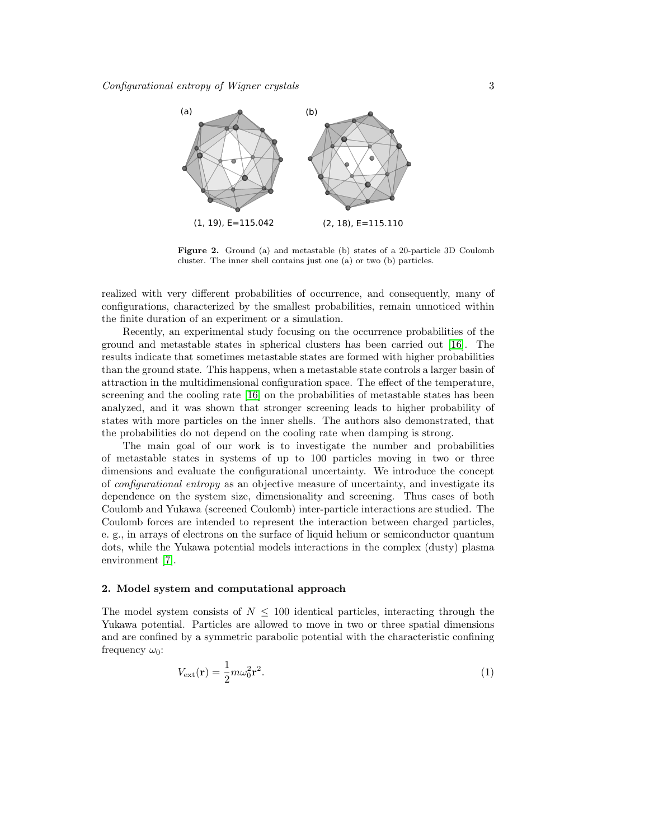

<span id="page-2-0"></span>Figure 2. Ground (a) and metastable (b) states of a 20-particle 3D Coulomb cluster. The inner shell contains just one (a) or two (b) particles.

realized with very different probabilities of occurrence, and consequently, many of configurations, characterized by the smallest probabilities, remain unnoticed within the finite duration of an experiment or a simulation.

Recently, an experimental study focusing on the occurrence probabilities of the ground and metastable states in spherical clusters has been carried out [\[16\]](#page-11-15). The results indicate that sometimes metastable states are formed with higher probabilities than the ground state. This happens, when a metastable state controls a larger basin of attraction in the multidimensional configuration space. The effect of the temperature, screening and the cooling rate [\[16\]](#page-11-15) on the probabilities of metastable states has been analyzed, and it was shown that stronger screening leads to higher probability of states with more particles on the inner shells. The authors also demonstrated, that the probabilities do not depend on the cooling rate when damping is strong.

The main goal of our work is to investigate the number and probabilities of metastable states in systems of up to 100 particles moving in two or three dimensions and evaluate the configurational uncertainty. We introduce the concept of configurational entropy as an objective measure of uncertainty, and investigate its dependence on the system size, dimensionality and screening. Thus cases of both Coulomb and Yukawa (screened Coulomb) inter-particle interactions are studied. The Coulomb forces are intended to represent the interaction between charged particles, e. g., in arrays of electrons on the surface of liquid helium or semiconductor quantum dots, while the Yukawa potential models interactions in the complex (dusty) plasma environment [\[7\]](#page-11-6).

# <span id="page-2-1"></span>2. Model system and computational approach

The model system consists of  $N \leq 100$  identical particles, interacting through the Yukawa potential. Particles are allowed to move in two or three spatial dimensions and are confined by a symmetric parabolic potential with the characteristic confining frequency  $\omega_0$ :

$$
V_{\text{ext}}(\mathbf{r}) = \frac{1}{2}m\omega_0^2 \mathbf{r}^2. \tag{1}
$$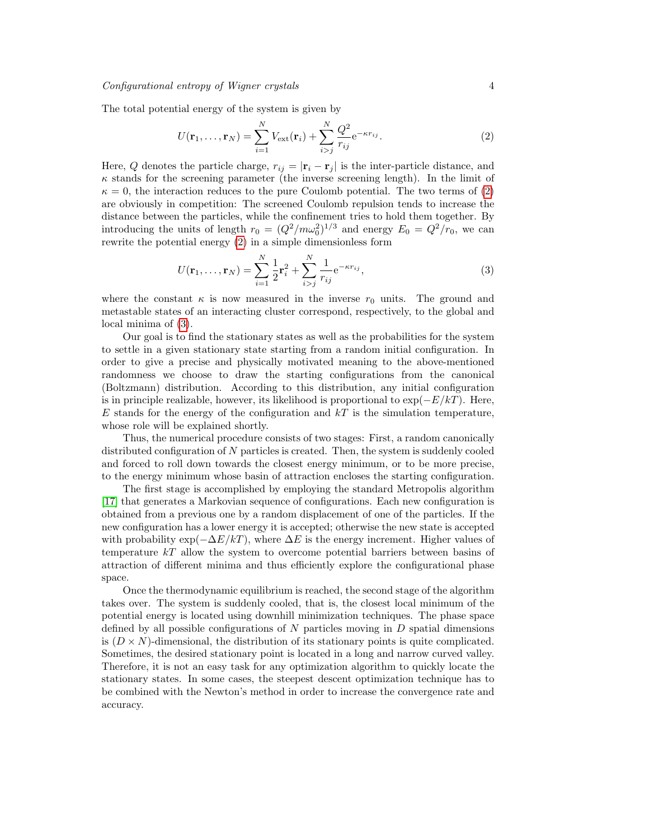The total potential energy of the system is given by

<span id="page-3-0"></span>
$$
U(\mathbf{r}_{1},...,\mathbf{r}_{N}) = \sum_{i=1}^{N} V_{\text{ext}}(\mathbf{r}_{i}) + \sum_{i>j}^{N} \frac{Q^{2}}{r_{ij}} e^{-\kappa r_{ij}}.
$$
 (2)

Here, Q denotes the particle charge,  $r_{ij} = |\mathbf{r}_i - \mathbf{r}_j|$  is the inter-particle distance, and  $\kappa$  stands for the screening parameter (the inverse screening length). In the limit of  $\kappa = 0$ , the interaction reduces to the pure Coulomb potential. The two terms of [\(2\)](#page-3-0) are obviously in competition: The screened Coulomb repulsion tends to increase the distance between the particles, while the confinement tries to hold them together. By introducing the units of length  $r_0 = (Q^2/m\omega_0^2)^{1/3}$  and energy  $E_0 = Q^2/r_0$ , we can rewrite the potential energy [\(2\)](#page-3-0) in a simple dimensionless form

<span id="page-3-1"></span>
$$
U(\mathbf{r}_1, ..., \mathbf{r}_N) = \sum_{i=1}^{N} \frac{1}{2} \mathbf{r}_i^2 + \sum_{i>j}^{N} \frac{1}{r_{ij}} e^{-\kappa r_{ij}},
$$
(3)

where the constant  $\kappa$  is now measured in the inverse  $r_0$  units. The ground and metastable states of an interacting cluster correspond, respectively, to the global and local minima of [\(3\)](#page-3-1).

Our goal is to find the stationary states as well as the probabilities for the system to settle in a given stationary state starting from a random initial configuration. In order to give a precise and physically motivated meaning to the above-mentioned randomness we choose to draw the starting configurations from the canonical (Boltzmann) distribution. According to this distribution, any initial configuration is in principle realizable, however, its likelihood is proportional to  $\exp(-E/kT)$ . Here, E stands for the energy of the configuration and  $kT$  is the simulation temperature, whose role will be explained shortly.

Thus, the numerical procedure consists of two stages: First, a random canonically distributed configuration of N particles is created. Then, the system is suddenly cooled and forced to roll down towards the closest energy minimum, or to be more precise, to the energy minimum whose basin of attraction encloses the starting configuration.

The first stage is accomplished by employing the standard Metropolis algorithm [\[17\]](#page-11-16) that generates a Markovian sequence of configurations. Each new configuration is obtained from a previous one by a random displacement of one of the particles. If the new configuration has a lower energy it is accepted; otherwise the new state is accepted with probability  $\exp(-\Delta E/kT)$ , where  $\Delta E$  is the energy increment. Higher values of temperature  $kT$  allow the system to overcome potential barriers between basins of attraction of different minima and thus efficiently explore the configurational phase space.

Once the thermodynamic equilibrium is reached, the second stage of the algorithm takes over. The system is suddenly cooled, that is, the closest local minimum of the potential energy is located using downhill minimization techniques. The phase space defined by all possible configurations of  $N$  particles moving in  $D$  spatial dimensions is  $(D \times N)$ -dimensional, the distribution of its stationary points is quite complicated. Sometimes, the desired stationary point is located in a long and narrow curved valley. Therefore, it is not an easy task for any optimization algorithm to quickly locate the stationary states. In some cases, the steepest descent optimization technique has to be combined with the Newton's method in order to increase the convergence rate and accuracy.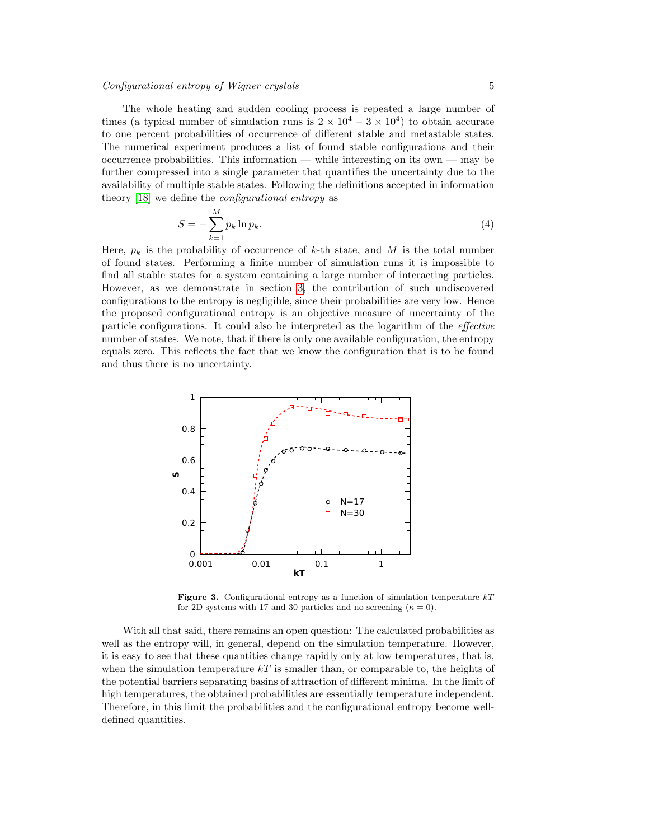# Configurational entropy of Wigner crystals 5

The whole heating and sudden cooling process is repeated a large number of times (a typical number of simulation runs is  $2 \times 10^4 - 3 \times 10^4$ ) to obtain accurate to one percent probabilities of occurrence of different stable and metastable states. The numerical experiment produces a list of found stable configurations and their occurrence probabilities. This information — while interesting on its own — may be further compressed into a single parameter that quantifies the uncertainty due to the availability of multiple stable states. Following the definitions accepted in information theory [\[18\]](#page-11-17) we define the configurational entropy as

$$
S = -\sum_{k=1}^{M} p_k \ln p_k. \tag{4}
$$

Here,  $p_k$  is the probability of occurrence of k-th state, and M is the total number of found states. Performing a finite number of simulation runs it is impossible to find all stable states for a system containing a large number of interacting particles. However, as we demonstrate in section [3,](#page-5-0) the contribution of such undiscovered configurations to the entropy is negligible, since their probabilities are very low. Hence the proposed configurational entropy is an objective measure of uncertainty of the particle configurations. It could also be interpreted as the logarithm of the effective number of states. We note, that if there is only one available configuration, the entropy equals zero. This reflects the fact that we know the configuration that is to be found and thus there is no uncertainty.



<span id="page-4-0"></span>**Figure 3.** Configurational entropy as a function of simulation temperature  $kT$ for 2D systems with 17 and 30 particles and no screening  $(\kappa = 0)$ .

With all that said, there remains an open question: The calculated probabilities as well as the entropy will, in general, depend on the simulation temperature. However, it is easy to see that these quantities change rapidly only at low temperatures, that is, when the simulation temperature  $kT$  is smaller than, or comparable to, the heights of the potential barriers separating basins of attraction of different minima. In the limit of high temperatures, the obtained probabilities are essentially temperature independent. Therefore, in this limit the probabilities and the configurational entropy become welldefined quantities.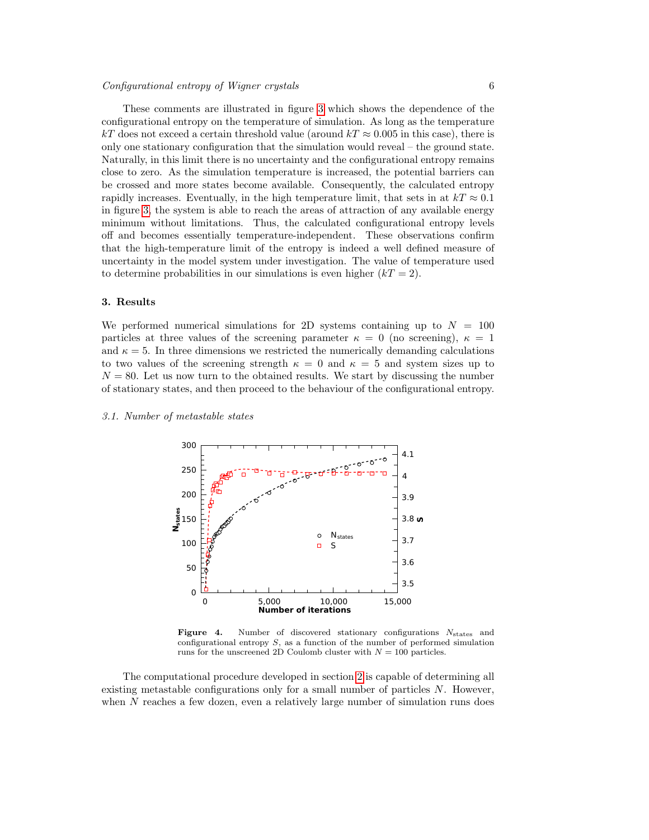# Configurational entropy of Wigner crystals 6

These comments are illustrated in figure [3](#page-4-0) which shows the dependence of the configurational entropy on the temperature of simulation. As long as the temperature kT does not exceed a certain threshold value (around  $kT \approx 0.005$  in this case), there is only one stationary configuration that the simulation would reveal – the ground state. Naturally, in this limit there is no uncertainty and the configurational entropy remains close to zero. As the simulation temperature is increased, the potential barriers can be crossed and more states become available. Consequently, the calculated entropy rapidly increases. Eventually, in the high temperature limit, that sets in at  $kT \approx 0.1$ in figure [3,](#page-4-0) the system is able to reach the areas of attraction of any available energy minimum without limitations. Thus, the calculated configurational entropy levels off and becomes essentially temperature-independent. These observations confirm that the high-temperature limit of the entropy is indeed a well defined measure of uncertainty in the model system under investigation. The value of temperature used to determine probabilities in our simulations is even higher  $(kT = 2)$ .

# <span id="page-5-0"></span>3. Results

We performed numerical simulations for 2D systems containing up to  $N = 100$ particles at three values of the screening parameter  $\kappa = 0$  (no screening),  $\kappa = 1$ and  $\kappa = 5$ . In three dimensions we restricted the numerically demanding calculations to two values of the screening strength  $\kappa = 0$  and  $\kappa = 5$  and system sizes up to  $N = 80$ . Let us now turn to the obtained results. We start by discussing the number of stationary states, and then proceed to the behaviour of the configurational entropy.

#### 3.1. Number of metastable states



<span id="page-5-1"></span>**Figure 4.** Number of discovered stationary configurations  $N_{\text{states}}$  and configurational entropy S, as a function of the number of performed simulation runs for the unscreened 2D Coulomb cluster with  $N = 100$  particles.

The computational procedure developed in section [2](#page-2-1) is capable of determining all existing metastable configurations only for a small number of particles  $N$ . However, when N reaches a few dozen, even a relatively large number of simulation runs does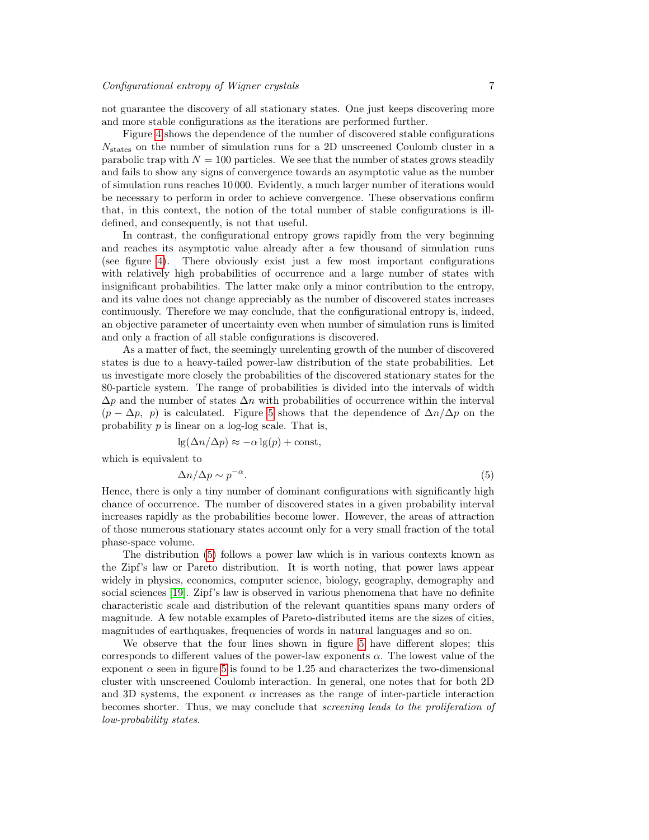not guarantee the discovery of all stationary states. One just keeps discovering more and more stable configurations as the iterations are performed further.

Figure [4](#page-5-1) shows the dependence of the number of discovered stable configurations  $N_{\text{states}}$  on the number of simulation runs for a 2D unscreened Coulomb cluster in a parabolic trap with  $N = 100$  particles. We see that the number of states grows steadily and fails to show any signs of convergence towards an asymptotic value as the number of simulation runs reaches 10 000. Evidently, a much larger number of iterations would be necessary to perform in order to achieve convergence. These observations confirm that, in this context, the notion of the total number of stable configurations is illdefined, and consequently, is not that useful.

In contrast, the configurational entropy grows rapidly from the very beginning and reaches its asymptotic value already after a few thousand of simulation runs (see figure [4\)](#page-5-1). There obviously exist just a few most important configurations with relatively high probabilities of occurrence and a large number of states with insignificant probabilities. The latter make only a minor contribution to the entropy, and its value does not change appreciably as the number of discovered states increases continuously. Therefore we may conclude, that the configurational entropy is, indeed, an objective parameter of uncertainty even when number of simulation runs is limited and only a fraction of all stable configurations is discovered.

As a matter of fact, the seemingly unrelenting growth of the number of discovered states is due to a heavy-tailed power-law distribution of the state probabilities. Let us investigate more closely the probabilities of the discovered stationary states for the 80-particle system. The range of probabilities is divided into the intervals of width  $\Delta p$  and the number of states  $\Delta n$  with probabilities of occurrence within the interval  $(p - \Delta p, p)$  is calculated. Figure [5](#page-7-0) shows that the dependence of  $\Delta n/\Delta p$  on the probability  $p$  is linear on a log-log scale. That is,

$$
lg(\Delta n/\Delta p) \approx -\alpha lg(p) + const,
$$

which is equivalent to

<span id="page-6-0"></span>
$$
\Delta n/\Delta p \sim p^{-\alpha}.\tag{5}
$$

Hence, there is only a tiny number of dominant configurations with significantly high chance of occurrence. The number of discovered states in a given probability interval increases rapidly as the probabilities become lower. However, the areas of attraction of those numerous stationary states account only for a very small fraction of the total phase-space volume.

The distribution [\(5\)](#page-6-0) follows a power law which is in various contexts known as the Zipf's law or Pareto distribution. It is worth noting, that power laws appear widely in physics, economics, computer science, biology, geography, demography and social sciences [\[19\]](#page-11-18). Zipf's law is observed in various phenomena that have no definite characteristic scale and distribution of the relevant quantities spans many orders of magnitude. A few notable examples of Pareto-distributed items are the sizes of cities, magnitudes of earthquakes, frequencies of words in natural languages and so on.

We observe that the four lines shown in figure [5](#page-6-0) have different slopes; this corresponds to different values of the power-law exponents  $\alpha$ . The lowest value of the exponent  $\alpha$  seen in figure [5](#page-6-0) is found to be 1.25 and characterizes the two-dimensional cluster with unscreened Coulomb interaction. In general, one notes that for both 2D and 3D systems, the exponent  $\alpha$  increases as the range of inter-particle interaction becomes shorter. Thus, we may conclude that screening leads to the proliferation of low-probability states.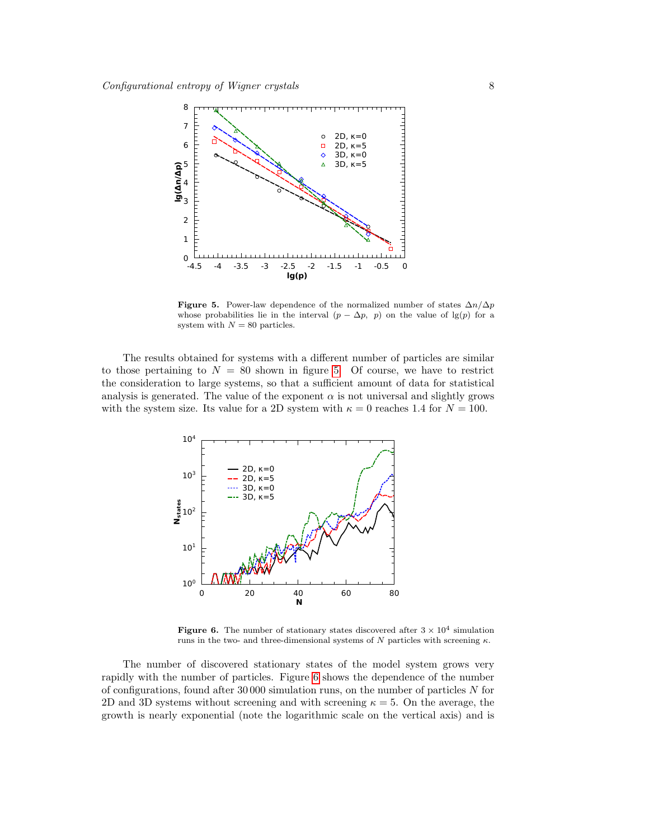

<span id="page-7-0"></span>Figure 5. Power-law dependence of the normalized number of states  $\Delta n/\Delta p$ whose probabilities lie in the interval  $(p - \Delta p, p)$  on the value of lg(p) for a system with  $N = 80$  particles.

The results obtained for systems with a different number of particles are similar to those pertaining to  $N = 80$  shown in figure [5.](#page-7-0) Of course, we have to restrict the consideration to large systems, so that a sufficient amount of data for statistical analysis is generated. The value of the exponent  $\alpha$  is not universal and slightly grows with the system size. Its value for a 2D system with  $\kappa = 0$  reaches 1.4 for  $N = 100$ .



<span id="page-7-1"></span>**Figure 6.** The number of stationary states discovered after  $3 \times 10^4$  simulation runs in the two- and three-dimensional systems of N particles with screening  $\kappa$ .

The number of discovered stationary states of the model system grows very rapidly with the number of particles. Figure [6](#page-7-1) shows the dependence of the number of configurations, found after 30 000 simulation runs, on the number of particles N for 2D and 3D systems without screening and with screening  $\kappa = 5$ . On the average, the growth is nearly exponential (note the logarithmic scale on the vertical axis) and is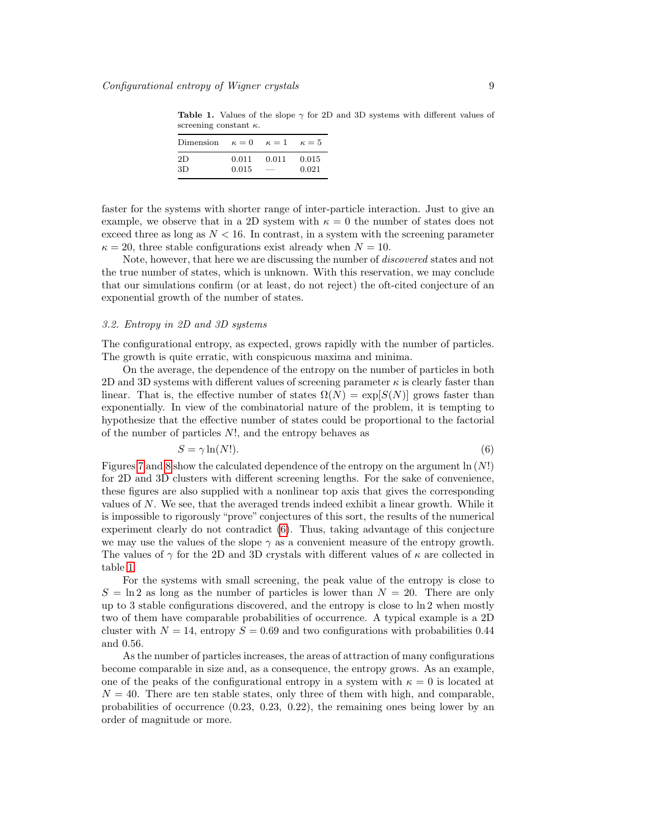<span id="page-8-1"></span>Table 1. Values of the slope  $\gamma$  for 2D and 3D systems with different values of screening constant  $\kappa$ .

| Dimension $\kappa = 0$ |       | $\kappa=1$    | $\kappa = 5$ |
|------------------------|-------|---------------|--------------|
| 2D                     | 0.011 | 0.011         | 0.015        |
| 3D                     | 0.015 | $\frac{1}{2}$ | 0.021        |

faster for the systems with shorter range of inter-particle interaction. Just to give an example, we observe that in a 2D system with  $\kappa = 0$  the number of states does not exceed three as long as  $N < 16$ . In contrast, in a system with the screening parameter  $\kappa = 20$ , three stable configurations exist already when  $N = 10$ .

Note, however, that here we are discussing the number of discovered states and not the true number of states, which is unknown. With this reservation, we may conclude that our simulations confirm (or at least, do not reject) the oft-cited conjecture of an exponential growth of the number of states.

# 3.2. Entropy in 2D and 3D systems

The configurational entropy, as expected, grows rapidly with the number of particles. The growth is quite erratic, with conspicuous maxima and minima.

On the average, the dependence of the entropy on the number of particles in both 2D and 3D systems with different values of screening parameter  $\kappa$  is clearly faster than linear. That is, the effective number of states  $\Omega(N) = \exp[S(N)]$  grows faster than exponentially. In view of the combinatorial nature of the problem, it is tempting to hypothesize that the effective number of states could be proportional to the factorial of the number of particles N!, and the entropy behaves as

<span id="page-8-0"></span>
$$
S = \gamma \ln(N!). \tag{6}
$$

Figures [7](#page-9-0) and [8](#page-9-1) show the calculated dependence of the entropy on the argument  $\ln(N!)$ for 2D and 3D clusters with different screening lengths. For the sake of convenience, these figures are also supplied with a nonlinear top axis that gives the corresponding values of  $N$ . We see, that the averaged trends indeed exhibit a linear growth. While it is impossible to rigorously "prove" conjectures of this sort, the results of the numerical experiment clearly do not contradict [\(6\)](#page-8-0). Thus, taking advantage of this conjecture we may use the values of the slope  $\gamma$  as a convenient measure of the entropy growth. The values of  $\gamma$  for the 2D and 3D crystals with different values of  $\kappa$  are collected in table [1.](#page-8-1)

For the systems with small screening, the peak value of the entropy is close to  $S = \ln 2$  as long as the number of particles is lower than  $N = 20$ . There are only up to 3 stable configurations discovered, and the entropy is close to ln 2 when mostly two of them have comparable probabilities of occurrence. A typical example is a 2D cluster with  $N = 14$ , entropy  $S = 0.69$  and two configurations with probabilities 0.44 and 0.56.

As the number of particles increases, the areas of attraction of many configurations become comparable in size and, as a consequence, the entropy grows. As an example, one of the peaks of the configurational entropy in a system with  $\kappa = 0$  is located at  $N = 40$ . There are ten stable states, only three of them with high, and comparable, probabilities of occurrence (0.23, 0.23, 0.22), the remaining ones being lower by an order of magnitude or more.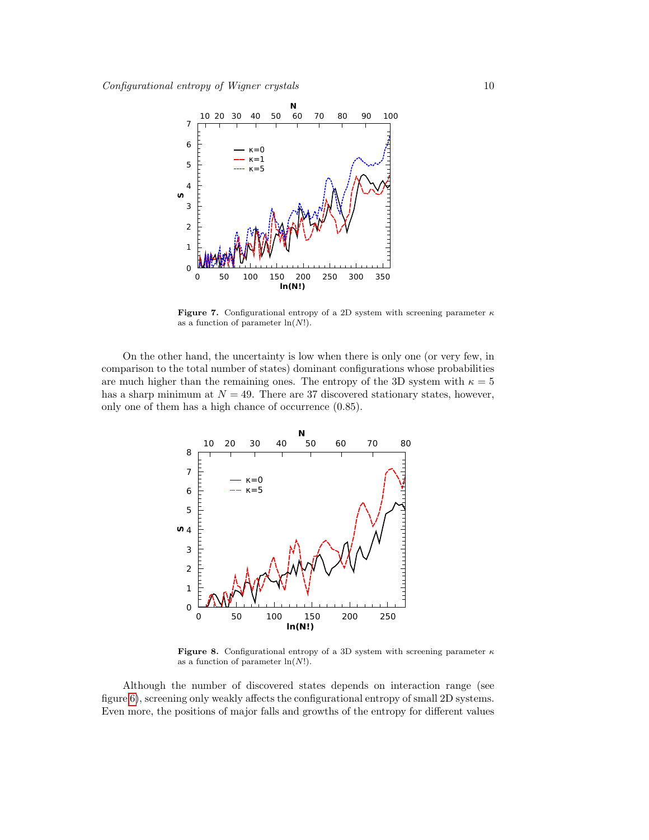

<span id="page-9-0"></span>Figure 7. Configurational entropy of a 2D system with screening parameter  $\kappa$ as a function of parameter  $ln(N!)$ .

On the other hand, the uncertainty is low when there is only one (or very few, in comparison to the total number of states) dominant configurations whose probabilities are much higher than the remaining ones. The entropy of the 3D system with  $\kappa = 5$ has a sharp minimum at  $N = 49$ . There are 37 discovered stationary states, however, only one of them has a high chance of occurrence (0.85).



<span id="page-9-1"></span>Figure 8. Configurational entropy of a 3D system with screening parameter  $\kappa$ as a function of parameter  $ln(N!)$ .

Although the number of discovered states depends on interaction range (see figure [6\)](#page-7-1), screening only weakly affects the configurational entropy of small 2D systems. Even more, the positions of major falls and growths of the entropy for different values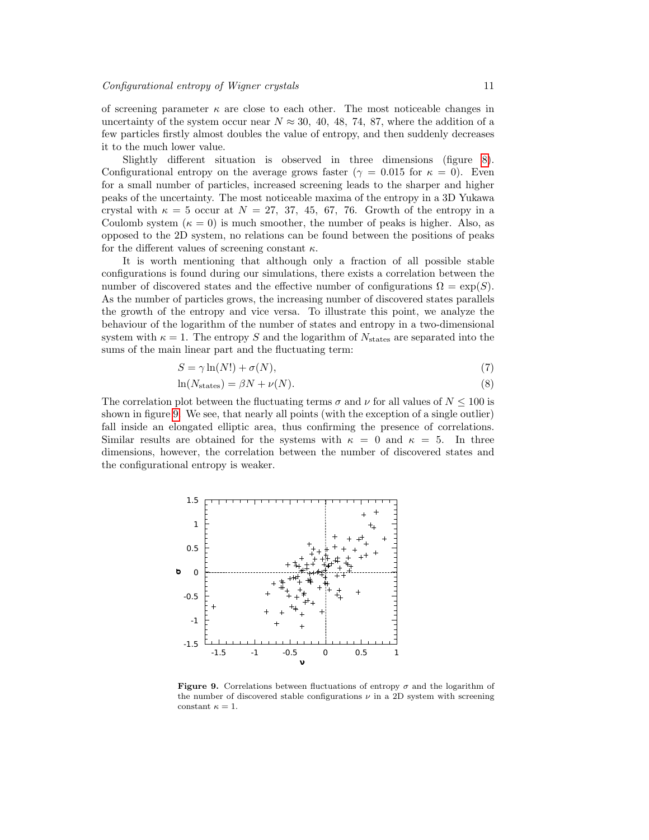of screening parameter  $\kappa$  are close to each other. The most noticeable changes in uncertainty of the system occur near  $N \approx 30, 40, 48, 74, 87$ , where the addition of a few particles firstly almost doubles the value of entropy, and then suddenly decreases it to the much lower value.

Slightly different situation is observed in three dimensions (figure [8\)](#page-9-1). Configurational entropy on the average grows faster ( $\gamma = 0.015$  for  $\kappa = 0$ ). Even for a small number of particles, increased screening leads to the sharper and higher peaks of the uncertainty. The most noticeable maxima of the entropy in a 3D Yukawa crystal with  $\kappa = 5$  occur at  $N = 27, 37, 45, 67, 76$ . Growth of the entropy in a Coulomb system  $(\kappa = 0)$  is much smoother, the number of peaks is higher. Also, as opposed to the 2D system, no relations can be found between the positions of peaks for the different values of screening constant  $\kappa$ .

It is worth mentioning that although only a fraction of all possible stable configurations is found during our simulations, there exists a correlation between the number of discovered states and the effective number of configurations  $\Omega = \exp(S)$ . As the number of particles grows, the increasing number of discovered states parallels the growth of the entropy and vice versa. To illustrate this point, we analyze the behaviour of the logarithm of the number of states and entropy in a two-dimensional system with  $\kappa = 1$ . The entropy S and the logarithm of  $N_{\text{states}}$  are separated into the sums of the main linear part and the fluctuating term:

$$
S = \gamma \ln(N!) + \sigma(N),\tag{7}
$$

$$
\ln(N_{\text{states}}) = \beta N + \nu(N). \tag{8}
$$

The correlation plot between the fluctuating terms  $\sigma$  and  $\nu$  for all values of  $N \leq 100$  is shown in figure [9.](#page-10-0) We see, that nearly all points (with the exception of a single outlier) fall inside an elongated elliptic area, thus confirming the presence of correlations. Similar results are obtained for the systems with  $\kappa = 0$  and  $\kappa = 5$ . In three dimensions, however, the correlation between the number of discovered states and the configurational entropy is weaker.



<span id="page-10-0"></span>**Figure 9.** Correlations between fluctuations of entropy  $\sigma$  and the logarithm of the number of discovered stable configurations  $\nu$  in a 2D system with screening constant  $\kappa=1.$